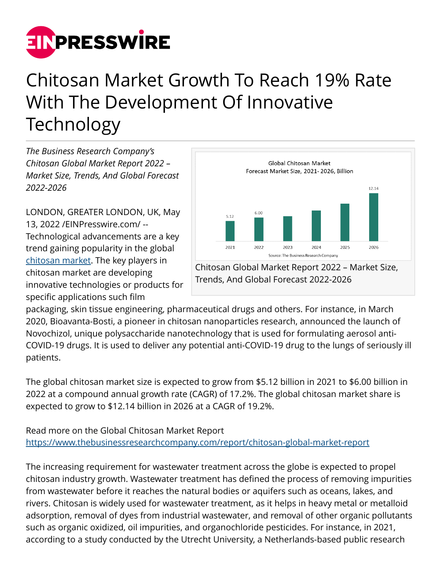

## Chitosan Market Growth To Reach 19% Rate With The Development Of Innovative Technology

*The Business Research Company's Chitosan Global Market Report 2022 – Market Size, Trends, And Global Forecast 2022-2026*

LONDON, GREATER LONDON, UK, May 13, 2022 /[EINPresswire.com/](http://www.einpresswire.com) -- Technological advancements are a key trend gaining popularity in the global [chitosan market](https://www.thebusinessresearchcompany.com/report/chitosan-global-market-report). The key players in chitosan market are developing innovative technologies or products for specific applications such film



packaging, skin tissue engineering, pharmaceutical drugs and others. For instance, in March 2020, Bioavanta-Bosti, a pioneer in chitosan nanoparticles research, announced the launch of Novochizol, unique polysaccharide nanotechnology that is used for formulating aerosol anti-COVID-19 drugs. It is used to deliver any potential anti-COVID-19 drug to the lungs of seriously ill patients.

The global chitosan market size is expected to grow from \$5.12 billion in 2021 to \$6.00 billion in 2022 at a compound annual growth rate (CAGR) of 17.2%. The global chitosan market share is expected to grow to \$12.14 billion in 2026 at a CAGR of 19.2%.

Read more on the Global Chitosan Market Report <https://www.thebusinessresearchcompany.com/report/chitosan-global-market-report>

The increasing requirement for wastewater treatment across the globe is expected to propel chitosan industry growth. Wastewater treatment has defined the process of removing impurities from wastewater before it reaches the natural bodies or aquifers such as oceans, lakes, and rivers. Chitosan is widely used for wastewater treatment, as it helps in heavy metal or metalloid adsorption, removal of dyes from industrial wastewater, and removal of other organic pollutants such as organic oxidized, oil impurities, and organochloride pesticides. For instance, in 2021, according to a study conducted by the Utrecht University, a Netherlands-based public research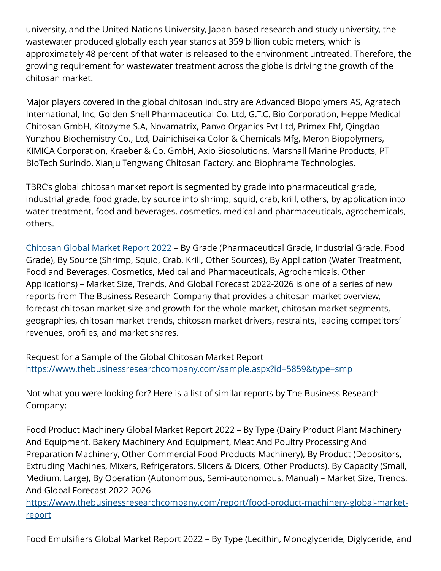university, and the United Nations University, Japan-based research and study university, the wastewater produced globally each year stands at 359 billion cubic meters, which is approximately 48 percent of that water is released to the environment untreated. Therefore, the growing requirement for wastewater treatment across the globe is driving the growth of the chitosan market.

Major players covered in the global chitosan industry are Advanced Biopolymers AS, Agratech International, Inc, Golden-Shell Pharmaceutical Co. Ltd, G.T.C. Bio Corporation, Heppe Medical Chitosan GmbH, Kitozyme S.A, Novamatrix, Panvo Organics Pvt Ltd, Primex Ehf, Qingdao Yunzhou Biochemistry Co., Ltd, Dainichiseika Color & Chemicals Mfg, Meron Biopolymers, KIMICA Corporation, Kraeber & Co. GmbH, Axio Biosolutions, Marshall Marine Products, PT BIoTech Surindo, Xianju Tengwang Chitosan Factory, and Biophrame Technologies.

TBRC's global chitosan market report is segmented by grade into pharmaceutical grade, industrial grade, food grade, by source into shrimp, squid, crab, krill, others, by application into water treatment, food and beverages, cosmetics, medical and pharmaceuticals, agrochemicals, others.

[Chitosan Global Market Report 2022](https://www.thebusinessresearchcompany.com/report/chitosan-global-market-report) – By Grade (Pharmaceutical Grade, Industrial Grade, Food Grade), By Source (Shrimp, Squid, Crab, Krill, Other Sources), By Application (Water Treatment, Food and Beverages, Cosmetics, Medical and Pharmaceuticals, Agrochemicals, Other Applications) – Market Size, Trends, And Global Forecast 2022-2026 is one of a series of new reports from The Business Research Company that provides a chitosan market overview, forecast chitosan market size and growth for the whole market, chitosan market segments, geographies, chitosan market trends, chitosan market drivers, restraints, leading competitors' revenues, profiles, and market shares.

Request for a Sample of the Global Chitosan Market Report <https://www.thebusinessresearchcompany.com/sample.aspx?id=5859&type=smp>

Not what you were looking for? Here is a list of similar reports by The Business Research Company:

Food Product Machinery Global Market Report 2022 – By Type (Dairy Product Plant Machinery And Equipment, Bakery Machinery And Equipment, Meat And Poultry Processing And Preparation Machinery, Other Commercial Food Products Machinery), By Product (Depositors, Extruding Machines, Mixers, Refrigerators, Slicers & Dicers, Other Products), By Capacity (Small, Medium, Large), By Operation (Autonomous, Semi-autonomous, Manual) – Market Size, Trends, And Global Forecast 2022-2026

[https://www.thebusinessresearchcompany.com/report/food-product-machinery-global-market](https://www.thebusinessresearchcompany.com/report/food-product-machinery-global-market-report)[report](https://www.thebusinessresearchcompany.com/report/food-product-machinery-global-market-report)

Food Emulsifiers Global Market Report 2022 – By Type (Lecithin, Monoglyceride, Diglyceride, and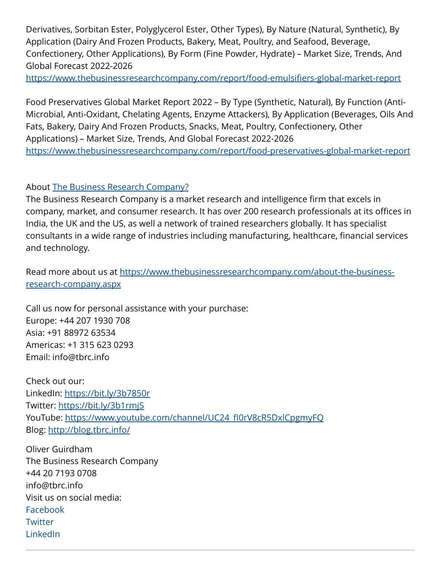Derivatives, Sorbitan Ester, Polyglycerol Ester, Other Types), By Nature (Natural, Synthetic), By Application (Dairy And Frozen Products, Bakery, Meat, Poultry, and Seafood, Beverage, Confectionery, Other Applications), By Form (Fine Powder, Hydrate) – Market Size, Trends, And Global Forecast 2022-2026

<https://www.thebusinessresearchcompany.com/report/food-emulsifiers-global-market-report>

Food Preservatives Global Market Report 2022 – By Type (Synthetic, Natural), By Function (Anti-Microbial, Anti-Oxidant, Chelating Agents, Enzyme Attackers), By Application (Beverages, Oils And Fats, Bakery, Dairy And Frozen Products, Snacks, Meat, Poultry, Confectionery, Other Applications) – Market Size, Trends, And Global Forecast 2022-2026 <https://www.thebusinessresearchcompany.com/report/food-preservatives-global-market-report>

About [The Business Research Company?](https://www.thebusinessresearchcompany.com/)

The Business Research Company is a market research and intelligence firm that excels in company, market, and consumer research. It has over 200 research professionals at its offices in India, the UK and the US, as well a network of trained researchers globally. It has specialist consultants in a wide range of industries including manufacturing, healthcare, financial services and technology.

Read more about us at [https://www.thebusinessresearchcompany.com/about-the-business](https://www.thebusinessresearchcompany.com/about-the-business-research-company.aspx)[research-company.aspx](https://www.thebusinessresearchcompany.com/about-the-business-research-company.aspx)

Call us now for personal assistance with your purchase: Europe: +44 207 1930 708 Asia: +91 88972 63534 Americas: +1 315 623 0293 Email: info@tbrc.info

Check out our: LinkedIn: <https://bit.ly/3b7850r> Twitter:<https://bit.ly/3b1rmjS> YouTube: [https://www.youtube.com/channel/UC24\\_fI0rV8cR5DxlCpgmyFQ](https://www.youtube.com/channel/UC24_fI0rV8cR5DxlCpgmyFQ) Blog: <http://blog.tbrc.info/>

Oliver Guirdham The Business Research Company +44 20 7193 0708 info@tbrc.info Visit us on social media: [Facebook](https://www.facebook.com/TheBusinessResearchCompany/) **[Twitter](https://twitter.com/tbrc_info)** [LinkedIn](https://www.linkedin.com/company/the-business-research-company/)